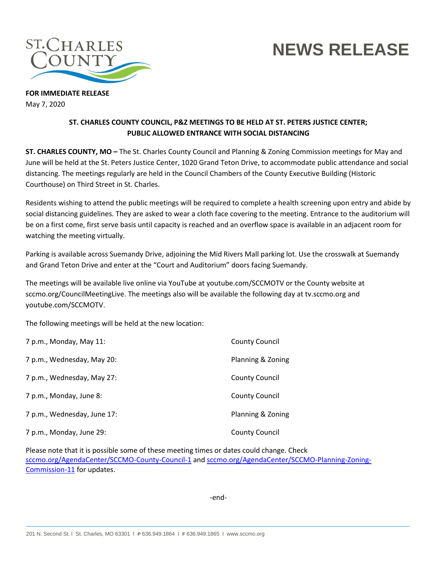

## **NEWS RELEASE**

**FOR IMMEDIATE RELEASE** May 7, 2020

## **ST. CHARLES COUNTY COUNCIL, P&Z MEETINGS TO BE HELD AT ST. PETERS JUSTICE CENTER; PUBLIC ALLOWED ENTRANCE WITH SOCIAL DISTANCING**

**ST. CHARLES COUNTY, MO –** The St. Charles County Council and Planning & Zoning Commission meetings for May and June will be held at the St. Peters Justice Center, 1020 Grand Teton Drive, to accommodate public attendance and social distancing. The meetings regularly are held in the Council Chambers of the County Executive Building (Historic Courthouse) on Third Street in St. Charles.

Residents wishing to attend the public meetings will be required to complete a health screening upon entry and abide by social distancing guidelines. They are asked to wear a cloth face covering to the meeting. Entrance to the auditorium will be on a first come, first serve basis until capacity is reached and an overflow space is available in an adjacent room for watching the meeting virtually.

Parking is available across Suemandy Drive, adjoining the Mid Rivers Mall parking lot. Use the crosswalk at Suemandy and Grand Teton Drive and enter at the "Court and Auditorium" doors facing Suemandy.

The meetings will be available live online via YouTube at youtube.com/SCCMOTV or the County website at sccmo.org/CouncilMeetingLive. The meetings also will be available the following day at tv.sccmo.org and youtube.com/SCCMOTV.

The following meetings will be held at the new location:

| 7 p.m., Monday, May 11:     | <b>County Council</b> |
|-----------------------------|-----------------------|
| 7 p.m., Wednesday, May 20:  | Planning & Zoning     |
| 7 p.m., Wednesday, May 27:  | <b>County Council</b> |
| 7 p.m., Monday, June 8:     | <b>County Council</b> |
| 7 p.m., Wednesday, June 17: | Planning & Zoning     |
| 7 p.m., Monday, June 29:    | <b>County Council</b> |

Please note that it is possible some of these meeting times or dates could change. Check [sccmo.org/AgendaCenter/SCCMO-County-Council-1](https://www.sccmo.org/AgendaCenter/SCCMO-County-Council-1) and [sccmo.org/AgendaCenter/SCCMO-Planning-Zoning-](https://www.sccmo.org/AgendaCenter/SCCMO-Planning-Zoning-Commission-11)[Commission-11](https://www.sccmo.org/AgendaCenter/SCCMO-Planning-Zoning-Commission-11) for updates.

-end-